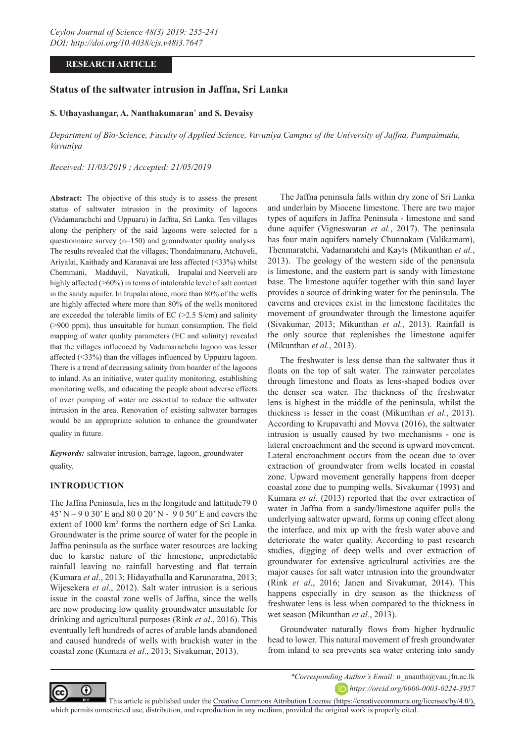# **RESEARCH ARTICLE**

# **Status of the saltwater intrusion in Jaffna, Sri Lanka**

#### **S. Uthayashangar, A. Nanthakumaran\* and S. Devaisy**

*Department of Bio-Science, Faculty of Applied Science, Vavuniya Campus of the University of Jaffna, Pampaimadu, Vavuniya*

*Received: 11/03/2019 ; Accepted: 21/05/2019*

**Abstract:** The objective of this study is to assess the present status of saltwater intrusion in the proximity of lagoons (Vadamarachchi and Uppuaru) in Jaffna, Sri Lanka. Ten villages along the periphery of the said lagoons were selected for a questionnaire survey (n=150) and groundwater quality analysis. The results revealed that the villages; Thondaimanaru, Atchuveli, Ariyalai, Kaithady and Karanavai are less affected (<33%) whilst Chemmani, Madduvil, Navatkuli, Irupalai and Neerveli are highly affected (>60%) in terms of intolerable level of salt content in the sandy aquifer. In Irupalai alone, more than 80% of the wells are highly affected where more than 80% of the wells monitored are exceeded the tolerable limits of EC  $(>2.5 \text{ S/cm})$  and salinity (>900 ppm), thus unsuitable for human consumption. The field mapping of water quality parameters (EC and salinity) revealed that the villages influenced by Vadamarachchi lagoon was lesser affected (<33%) than the villages influenced by Uppuaru lagoon. There is a trend of decreasing salinity from boarder of the lagoons to inland. As an initiative, water quality monitoring, establishing monitoring wells, and educating the people about adverse effects of over pumping of water are essential to reduce the saltwater intrusion in the area. Renovation of existing saltwater barrages would be an appropriate solution to enhance the groundwater quality in future.

*Keywords:* saltwater intrusion, barrage, lagoon, groundwater quality.

## **INTRODUCTION**

The Jaffna Peninsula, lies in the longitude and lattitude79 0 45' N – 9 0 30' E and 80 0 20' N - 9 0 50' E and covers the extent of 1000 km<sup>2</sup> forms the northern edge of Sri Lanka. Groundwater is the prime source of water for the people in Jaffna peninsula as the surface water resources are lacking due to karstic nature of the limestone, unpredictable rainfall leaving no rainfall harvesting and flat terrain (Kumara *et al*., 2013; Hidayathulla and Karunaratna, 2013; Wijesekera *et al*., 2012). Salt water intrusion is a serious issue in the coastal zone wells of Jaffna, since the wells are now producing low quality groundwater unsuitable for drinking and agricultural purposes (Rink *et al*., 2016). This eventually left hundreds of acres of arable lands abandoned and caused hundreds of wells with brackish water in the coastal zone (Kumara *et al*., 2013; Sivakumar, 2013).

The Jaffna peninsula falls within dry zone of Sri Lanka and underlain by Miocene limestone. There are two major types of aquifers in Jaffna Peninsula - limestone and sand dune aquifer (Vigneswaran *et al.*, 2017). The peninsula has four main aquifers namely Chunnakam (Valikamam), Thenmaratchi, Vadamaratchi and Kayts (Mikunthan *et al.*, 2013). The geology of the western side of the peninsula is limestone, and the eastern part is sandy with limestone base. The limestone aquifer together with thin sand layer provides a source of drinking water for the peninsula. The caverns and crevices exist in the limestone facilitates the movement of groundwater through the limestone aquifer (Sivakumar, 2013; Mikunthan *et al.*, 2013). Rainfall is the only source that replenishes the limestone aquifer (Mikunthan *et al.*, 2013).

The freshwater is less dense than the saltwater thus it floats on the top of salt water. The rainwater percolates through limestone and floats as lens-shaped bodies over the denser sea water. The thickness of the freshwater lens is highest in the middle of the peninsula, whilst the thickness is lesser in the coast (Mikunthan *et al.*, 2013). According to Krupavathi and Movva (2016), the saltwater intrusion is usually caused by two mechanisms - one is lateral encroachment and the second is upward movement. Lateral encroachment occurs from the ocean due to over extraction of groundwater from wells located in coastal zone. Upward movement generally happens from deeper coastal zone due to pumping wells. Sivakumar (1993) and Kumara *et al*. (2013) reported that the over extraction of water in Jaffna from a sandy/limestone aquifer pulls the underlying saltwater upward, forms up coning effect along the interface, and mix up with the fresh water above and deteriorate the water quality. According to past research studies, digging of deep wells and over extraction of groundwater for extensive agricultural activities are the major causes for salt water intrusion into the groundwater (Rink *et al*., 2016; Janen and Sivakumar, 2014). This happens especially in dry season as the thickness of freshwater lens is less when compared to the thickness in wet season (Mikunthan *et al.*, 2013).

Groundwater naturally flows from higher hydraulic head to lower. This natural movement of fresh groundwater from inland to sea prevents sea water entering into sandy



*\*Corresponding Author's Email:* n\_ananthi@vau.jfn.ac.lk *https://orcid.org/0000-0003-0224-3957*

This article is published under the [Creative Commons Attribution License \(https://creativecommons.org/licenses/by/4.0/\),](https://creativecommons.org/licenses/by/4.0/)  which permits unrestricted use, distribution, and reproduction in any medium, provided the original work is properly cited.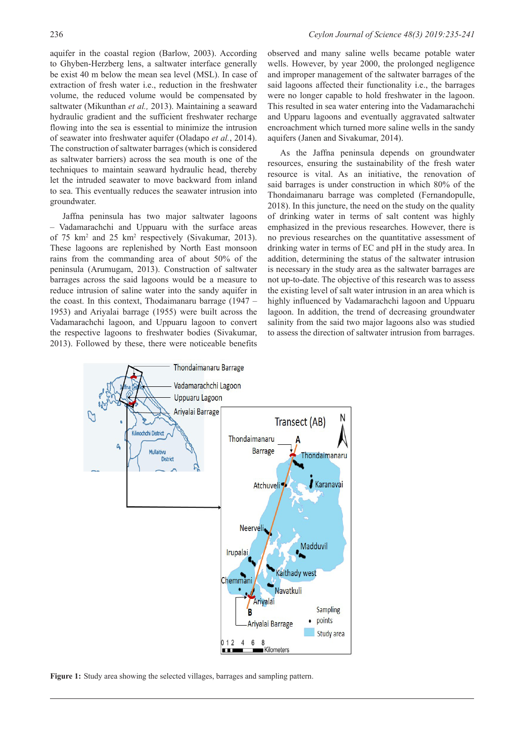aquifer in the coastal region (Barlow, 2003). According to Ghyben-Herzberg lens, a saltwater interface generally be exist 40 m below the mean sea level (MSL). In case of extraction of fresh water i.e., reduction in the freshwater volume, the reduced volume would be compensated by saltwater (Mikunthan *et al.,* 2013). Maintaining a seaward hydraulic gradient and the sufficient freshwater recharge flowing into the sea is essential to minimize the intrusion of seawater into freshwater aquifer (Oladapo *et al.*, 2014). The construction of saltwater barrages (which is considered as saltwater barriers) across the sea mouth is one of the techniques to maintain seaward hydraulic head, thereby let the intruded seawater to move backward from inland to sea. This eventually reduces the seawater intrusion into groundwater.

Jaffna peninsula has two major saltwater lagoons – Vadamarachchi and Uppuaru with the surface areas of 75 km<sup>2</sup> and 25 km<sup>2</sup> respectively (Sivakumar, 2013). These lagoons are replenished by North East monsoon rains from the commanding area of about 50% of the peninsula (Arumugam, 2013). Construction of saltwater barrages across the said lagoons would be a measure to reduce intrusion of saline water into the sandy aquifer in the coast. In this context, Thodaimanaru barrage (1947 – 1953) and Ariyalai barrage (1955) were built across the Vadamarachchi lagoon, and Uppuaru lagoon to convert the respective lagoons to freshwater bodies (Sivakumar, 2013). Followed by these, there were noticeable benefits

observed and many saline wells became potable water wells. However, by year 2000, the prolonged negligence and improper management of the saltwater barrages of the said lagoons affected their functionality i.e., the barrages were no longer capable to hold freshwater in the lagoon. This resulted in sea water entering into the Vadamarachchi and Upparu lagoons and eventually aggravated saltwater encroachment which turned more saline wells in the sandy aquifers (Janen and Sivakumar, 2014).

As the Jaffna peninsula depends on groundwater resources, ensuring the sustainability of the fresh water resource is vital. As an initiative, the renovation of said barrages is under construction in which 80% of the Thondaimanaru barrage was completed (Fernandopulle, 2018). In this juncture, the need on the study on the quality of drinking water in terms of salt content was highly emphasized in the previous researches. However, there is no previous researches on the quantitative assessment of drinking water in terms of EC and pH in the study area. In addition, determining the status of the saltwater intrusion is necessary in the study area as the saltwater barrages are not up-to-date. The objective of this research was to assess the existing level of salt water intrusion in an area which is highly influenced by Vadamarachchi lagoon and Uppuaru lagoon. In addition, the trend of decreasing groundwater salinity from the said two major lagoons also was studied to assess the direction of saltwater intrusion from barrages.



**Figure 1:** Study area showing the selected villages, barrages and sampling pattern.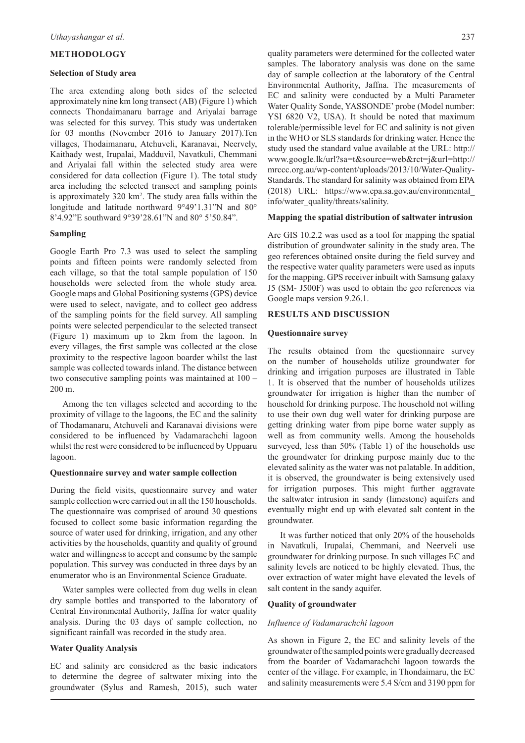### **METHODOLOGY**

#### **Selection of Study area**

The area extending along both sides of the selected approximately nine km long transect (AB) (Figure 1) which connects Thondaimanaru barrage and Ariyalai barrage was selected for this survey. This study was undertaken for 03 months (November 2016 to January 2017).Ten villages, Thodaimanaru, Atchuveli, Karanavai, Neervely, Kaithady west, Irupalai, Madduvil, Navatkuli, Chemmani and Ariyalai fall within the selected study area were considered for data collection (Figure 1). The total study area including the selected transect and sampling points is approximately 320 km<sup>2</sup>. The study area falls within the longitude and latitude northward 9°49'1.31"N and 80° 8'4.92"E southward 9°39'28.61"N and 80° 5'50.84".

#### **Sampling**

Google Earth Pro 7.3 was used to select the sampling points and fifteen points were randomly selected from each village, so that the total sample population of 150 households were selected from the whole study area. Google maps and Global Positioning systems (GPS) device were used to select, navigate, and to collect geo address of the sampling points for the field survey. All sampling points were selected perpendicular to the selected transect (Figure 1) maximum up to 2km from the lagoon. In every villages, the first sample was collected at the close proximity to the respective lagoon boarder whilst the last sample was collected towards inland. The distance between two consecutive sampling points was maintained at 100 – 200 m.

Among the ten villages selected and according to the proximity of village to the lagoons, the EC and the salinity of Thodamanaru, Atchuveli and Karanavai divisions were considered to be influenced by Vadamarachchi lagoon whilst the rest were considered to be influenced by Uppuaru lagoon.

### **Questionnaire survey and water sample collection**

During the field visits, questionnaire survey and water sample collection were carried out in all the 150 households. The questionnaire was comprised of around 30 questions focused to collect some basic information regarding the source of water used for drinking, irrigation, and any other activities by the households, quantity and quality of ground water and willingness to accept and consume by the sample population. This survey was conducted in three days by an enumerator who is an Environmental Science Graduate.

Water samples were collected from dug wells in clean dry sample bottles and transported to the laboratory of Central Environmental Authority, Jaffna for water quality analysis. During the 03 days of sample collection, no significant rainfall was recorded in the study area.

# **Water Quality Analysis**

EC and salinity are considered as the basic indicators to determine the degree of saltwater mixing into the groundwater (Sylus and Ramesh, 2015), such water quality parameters were determined for the collected water samples. The laboratory analysis was done on the same day of sample collection at the laboratory of the Central Environmental Authority, Jaffna. The measurements of EC and salinity were conducted by a Multi Parameter Water Quality Sonde, YASSONDE' probe (Model number: YSI 6820 V2, USA). It should be noted that maximum tolerable/permissible level for EC and salinity is not given in the WHO or SLS standards for drinking water. Hence the study used the standard value available at the URL: http:// www.google.lk/url?sa=t&source=web&rct=j&url=http:// mrccc.org.au/wp-content/uploads/2013/10/Water-Quality-Standards. The standard for salinity was obtained from EPA (2018) URL: https://www.epa.sa.gov.au/environmental\_ info/water\_quality/threats/salinity.

# **Mapping the spatial distribution of saltwater intrusion**

Arc GIS 10.2.2 was used as a tool for mapping the spatial distribution of groundwater salinity in the study area. The geo references obtained onsite during the field survey and the respective water quality parameters were used as inputs for the mapping. GPS receiver inbuilt with Samsung galaxy J5 (SM- J500F) was used to obtain the geo references via Google maps version 9.26.1.

# **RESULTS AND DISCUSSION**

#### **Questionnaire survey**

The results obtained from the questionnaire survey on the number of households utilize groundwater for drinking and irrigation purposes are illustrated in Table 1. It is observed that the number of households utilizes groundwater for irrigation is higher than the number of household for drinking purpose. The household not willing to use their own dug well water for drinking purpose are getting drinking water from pipe borne water supply as well as from community wells. Among the households surveyed, less than 50% (Table 1) of the households use the groundwater for drinking purpose mainly due to the elevated salinity as the water was not palatable. In addition, it is observed, the groundwater is being extensively used for irrigation purposes. This might further aggravate the saltwater intrusion in sandy (limestone) aquifers and eventually might end up with elevated salt content in the groundwater.

It was further noticed that only 20% of the households in Navatkuli, Irupalai, Chemmani, and Neerveli use groundwater for drinking purpose. In such villages EC and salinity levels are noticed to be highly elevated. Thus, the over extraction of water might have elevated the levels of salt content in the sandy aquifer.

### **Quality of groundwater**

#### *Influence of Vadamarachchi lagoon*

As shown in Figure 2, the EC and salinity levels of the groundwater of the sampled points were gradually decreased from the boarder of Vadamarachchi lagoon towards the center of the village. For example, in Thondaimaru, the EC and salinity measurements were 5.4 S/cm and 3190 ppm for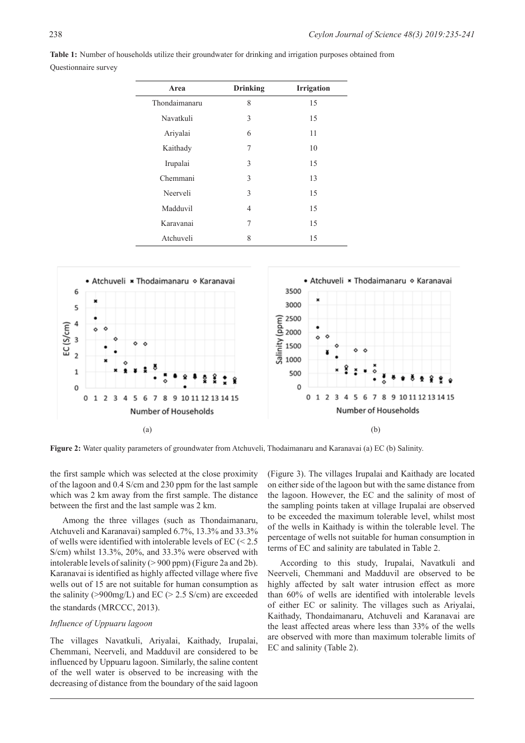**Table 1:** Number of households utilize their groundwater for drinking and irrigation purposes obtained from

Questionnaire survey

| Area          | <b>Drinking</b> | <b>Irrigation</b> |
|---------------|-----------------|-------------------|
| Thondaimanaru | 8               | 15                |
| Navatkuli     | 3               | 15                |
| Ariyalai      | 6               | 11                |
| Kaithady      | 7               | 10                |
| Irupalai      | 3               | 15                |
| Chemmani      | 3               | 13                |
| Neerveli      | 3               | 15                |
| Madduvil      | 4               | 15                |
| Karavanai     | 7               | 15                |
| Atchuveli     | 8               | 15                |



**Figure 2:** Water quality parameters of groundwater from Atchuveli, Thodaimanaru and Karanavai (a) EC (b) Salinity.

the first sample which was selected at the close proximity of the lagoon and 0.4 S/cm and 230 ppm for the last sample which was 2 km away from the first sample. The distance between the first and the last sample was 2 km.

Among the three villages (such as Thondaimanaru, Atchuveli and Karanavai) sampled 6.7%, 13.3% and 33.3% of wells were identified with intolerable levels of EC (< 2.5 S/cm) whilst 13.3%, 20%, and 33.3% were observed with intolerable levels of salinity (> 900 ppm) (Figure 2a and 2b). Karanavai is identified as highly affected village where five wells out of 15 are not suitable for human consumption as the salinity ( $>900$ mg/L) and EC ( $>2.5$  S/cm) are exceeded the standards (MRCCC, 2013).

### *Influence of Uppuaru lagoon*

The villages Navatkuli, Ariyalai, Kaithady, Irupalai, Chemmani, Neerveli, and Madduvil are considered to be influenced by Uppuaru lagoon. Similarly, the saline content of the well water is observed to be increasing with the decreasing of distance from the boundary of the said lagoon

(Figure 3). The villages Irupalai and Kaithady are located on either side of the lagoon but with the same distance from the lagoon. However, the EC and the salinity of most of the sampling points taken at village Irupalai are observed to be exceeded the maximum tolerable level, whilst most of the wells in Kaithady is within the tolerable level. The percentage of wells not suitable for human consumption in terms of EC and salinity are tabulated in Table 2.

According to this study, Irupalai, Navatkuli and Neerveli, Chemmani and Madduvil are observed to be highly affected by salt water intrusion effect as more than 60% of wells are identified with intolerable levels of either EC or salinity. The villages such as Ariyalai, Kaithady, Thondaimanaru, Atchuveli and Karanavai are the least affected areas where less than 33% of the wells are observed with more than maximum tolerable limits of EC and salinity (Table 2).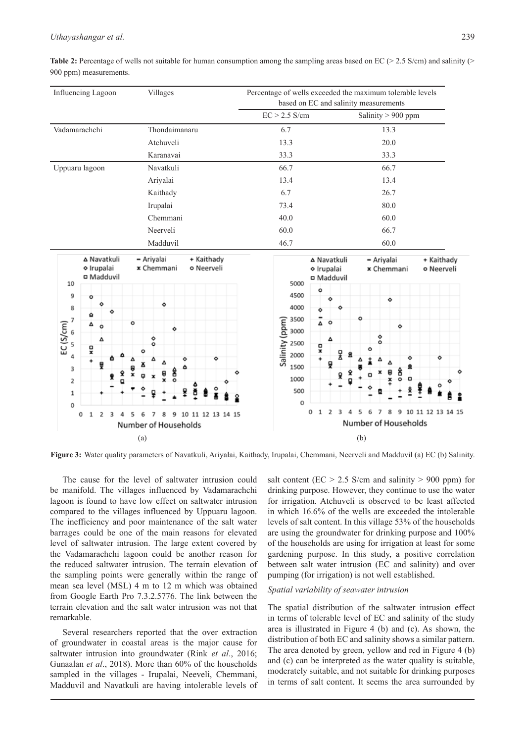| Influencing Lagoon<br>Villages                            |                                                             |   |   |   |  |  |                                                                                                |                      |  |              | Percentage of wells exceeded the maximum tolerable levels<br>based on EC and salinity measurements |                 |                |      |      |      |      |                                                                                                                   |  |  |  |  |                      |   |                      |                 |  |     |                                         |                      |      |  |    |  |                               |                |  |  |  |
|-----------------------------------------------------------|-------------------------------------------------------------|---|---|---|--|--|------------------------------------------------------------------------------------------------|----------------------|--|--------------|----------------------------------------------------------------------------------------------------|-----------------|----------------|------|------|------|------|-------------------------------------------------------------------------------------------------------------------|--|--|--|--|----------------------|---|----------------------|-----------------|--|-----|-----------------------------------------|----------------------|------|--|----|--|-------------------------------|----------------|--|--|--|
|                                                           |                                                             |   |   |   |  |  |                                                                                                |                      |  |              |                                                                                                    | $EC > 2.5$ S/cm |                |      |      |      |      |                                                                                                                   |  |  |  |  | Salinity $> 900$ ppm |   |                      |                 |  |     |                                         |                      |      |  |    |  |                               |                |  |  |  |
| Thondaimanaru<br>Vadamarachchi                            |                                                             |   |   |   |  |  |                                                                                                |                      |  |              |                                                                                                    |                 |                |      | 6.7  |      | 13.3 |                                                                                                                   |  |  |  |  |                      |   |                      |                 |  |     |                                         |                      |      |  |    |  |                               |                |  |  |  |
| Atchuveli                                                 |                                                             |   |   |   |  |  |                                                                                                |                      |  |              |                                                                                                    |                 |                |      | 13.3 |      |      | 20.0                                                                                                              |  |  |  |  |                      |   |                      |                 |  |     |                                         |                      |      |  |    |  |                               |                |  |  |  |
| Karanavai                                                 |                                                             |   |   |   |  |  |                                                                                                |                      |  |              |                                                                                                    |                 | 33.3           |      |      |      |      |                                                                                                                   |  |  |  |  |                      |   |                      |                 |  |     |                                         |                      |      |  |    |  |                               |                |  |  |  |
| Navatkuli<br>Uppuaru lagoon                               |                                                             |   |   |   |  |  |                                                                                                |                      |  |              |                                                                                                    |                 |                | 66.7 |      | 66.7 |      |                                                                                                                   |  |  |  |  |                      |   |                      |                 |  |     |                                         |                      |      |  |    |  |                               |                |  |  |  |
| Ariyalai                                                  |                                                             |   |   |   |  |  |                                                                                                |                      |  |              | 13.4                                                                                               |                 |                |      |      |      |      |                                                                                                                   |  |  |  |  |                      |   | 13.4                 |                 |  |     |                                         |                      |      |  |    |  |                               |                |  |  |  |
|                                                           |                                                             |   |   |   |  |  |                                                                                                | Kaithady             |  |              |                                                                                                    |                 |                |      |      |      |      | 6.7                                                                                                               |  |  |  |  |                      |   |                      |                 |  |     |                                         |                      | 26.7 |  |    |  |                               |                |  |  |  |
|                                                           |                                                             |   |   |   |  |  |                                                                                                | Irupalai             |  |              |                                                                                                    |                 |                |      |      |      |      |                                                                                                                   |  |  |  |  | 80.0                 |   |                      |                 |  |     |                                         |                      |      |  |    |  |                               |                |  |  |  |
| Chemmani                                                  |                                                             |   |   |   |  |  |                                                                                                |                      |  |              |                                                                                                    |                 |                |      |      | 40.0 |      |                                                                                                                   |  |  |  |  | 60.0                 |   |                      |                 |  |     |                                         |                      |      |  |    |  |                               |                |  |  |  |
| Neerveli                                                  |                                                             |   |   |   |  |  |                                                                                                |                      |  |              |                                                                                                    | 66.7<br>60.0    |                |      |      |      |      |                                                                                                                   |  |  |  |  |                      |   |                      |                 |  |     |                                         |                      |      |  |    |  |                               |                |  |  |  |
| Madduvil                                                  |                                                             |   |   |   |  |  |                                                                                                |                      |  | 46.7<br>60.0 |                                                                                                    |                 |                |      |      |      |      |                                                                                                                   |  |  |  |  |                      |   |                      |                 |  |     |                                         |                      |      |  |    |  |                               |                |  |  |  |
| 10<br>9<br>8<br>EC(S/cm)<br>$\overline{4}$<br>3<br>2<br>1 | ∆ Navatkuli<br>o Irupalai<br>o Madduvil<br>Δ<br>믖<br>ê<br>0 |   |   |   |  |  | - Ariyalai<br>+ Kaithady<br>x Chemmani<br>o Neerveli<br>۰<br>$\circ$<br>۰<br>۰<br>$\circ$<br>ە |                      |  |              |                                                                                                    |                 |                |      |      |      |      | ∆ Navatkuli<br>5000<br>4500<br>4000<br>3500<br>Salinity (ppm)<br>3000<br>2500<br>2000<br>1500<br>1000<br>500<br>0 |  |  |  |  |                      |   | o Irupalai<br>Δ<br>뮻 | o Madduvil<br>뭎 |  | ۰   | - Ariyalai<br>x Chemmani<br>۰<br>۰<br>៖ |                      |      |  |    |  | + Kaithady<br>o Neerveli<br>ە |                |  |  |  |
|                                                           | 0                                                           | 1 | 2 | з |  |  |                                                                                                |                      |  |              | 10                                                                                                 |                 | 11 12 13 14 15 |      |      |      |      |                                                                                                                   |  |  |  |  | 0                    | 1 | 2                    | з               |  |     |                                         |                      |      |  | 10 |  |                               | 11 12 13 14 15 |  |  |  |
|                                                           |                                                             |   |   |   |  |  |                                                                                                | Number of Households |  |              |                                                                                                    |                 |                |      |      |      |      |                                                                                                                   |  |  |  |  |                      |   |                      |                 |  |     |                                         | Number of Households |      |  |    |  |                               |                |  |  |  |
|                                                           |                                                             |   |   |   |  |  | (a)                                                                                            |                      |  |              |                                                                                                    |                 |                |      |      |      |      |                                                                                                                   |  |  |  |  |                      |   |                      |                 |  | (b) |                                         |                      |      |  |    |  |                               |                |  |  |  |

**Figure 3:** Water quality parameters of Navatkuli, Ariyalai, Kaithady, Irupalai, Chemmani, Neerveli and Madduvil (a) EC (b) Salinity.

The cause for the level of saltwater intrusion could be manifold. The villages influenced by Vadamarachchi lagoon is found to have low effect on saltwater intrusion compared to the villages influenced by Uppuaru lagoon. The inefficiency and poor maintenance of the salt water barrages could be one of the main reasons for elevated level of saltwater intrusion. The large extent covered by the Vadamarachchi lagoon could be another reason for the reduced saltwater intrusion. The terrain elevation of the sampling points were generally within the range of mean sea level (MSL) 4 m to 12 m which was obtained from Google Earth Pro 7.3.2.5776. The link between the terrain elevation and the salt water intrusion was not that remarkable.

Several researchers reported that the over extraction of groundwater in coastal areas is the major cause for saltwater intrusion into groundwater (Rink *et al*., 2016; Gunaalan *et al*., 2018). More than 60% of the households sampled in the villages - Irupalai, Neeveli, Chemmani, Madduvil and Navatkuli are having intolerable levels of salt content ( $EC > 2.5$  S/cm and salinity  $> 900$  ppm) for drinking purpose. However, they continue to use the water for irrigation. Atchuveli is observed to be least affected in which 16.6% of the wells are exceeded the intolerable levels of salt content. In this village 53% of the households are using the groundwater for drinking purpose and 100% of the households are using for irrigation at least for some gardening purpose. In this study, a positive correlation between salt water intrusion (EC and salinity) and over pumping (for irrigation) is not well established.

# *Spatial variability of seawater intrusion*

The spatial distribution of the saltwater intrusion effect in terms of tolerable level of EC and salinity of the study area is illustrated in Figure 4 (b) and (c). As shown, the distribution of both EC and salinity shows a similar pattern. The area denoted by green, yellow and red in Figure 4 (b) and (c) can be interpreted as the water quality is suitable, moderately suitable, and not suitable for drinking purposes in terms of salt content. It seems the area surrounded by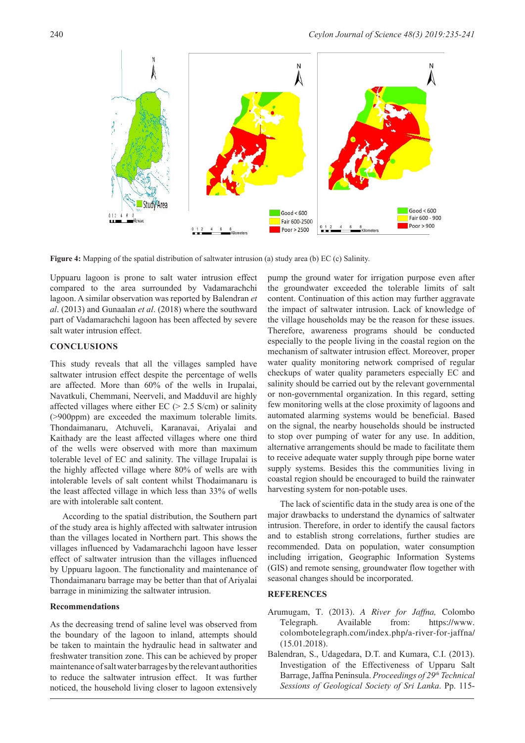

**Figure 4:** Mapping of the spatial distribution of saltwater intrusion (a) study area (b) EC (c) Salinity.

Uppuaru lagoon is prone to salt water intrusion effect compared to the area surrounded by Vadamarachchi lagoon. A similar observation was reported by Balendran *et al*. (2013) and Gunaalan *et al*. (2018) where the southward part of Vadamarachchi lagoon has been affected by severe salt water intrusion effect.

## **CONCLUSIONS**

This study reveals that all the villages sampled have saltwater intrusion effect despite the percentage of wells are affected. More than 60% of the wells in Irupalai, Navatkuli, Chemmani, Neerveli, and Madduvil are highly affected villages where either  $EC$  ( $> 2.5$  S/cm) or salinity (>900ppm) are exceeded the maximum tolerable limits. Thondaimanaru, Atchuveli, Karanavai, Ariyalai and Kaithady are the least affected villages where one third of the wells were observed with more than maximum tolerable level of EC and salinity. The village Irupalai is the highly affected village where 80% of wells are with intolerable levels of salt content whilst Thodaimanaru is the least affected village in which less than 33% of wells are with intolerable salt content.

According to the spatial distribution, the Southern part of the study area is highly affected with saltwater intrusion than the villages located in Northern part. This shows the villages influenced by Vadamarachchi lagoon have lesser effect of saltwater intrusion than the villages influenced by Uppuaru lagoon. The functionality and maintenance of Thondaimanaru barrage may be better than that of Ariyalai barrage in minimizing the saltwater intrusion.

#### **Recommendations**

As the decreasing trend of saline level was observed from the boundary of the lagoon to inland, attempts should be taken to maintain the hydraulic head in saltwater and freshwater transition zone. This can be achieved by proper maintenance of salt water barrages by the relevant authorities to reduce the saltwater intrusion effect. It was further noticed, the household living closer to lagoon extensively

pump the ground water for irrigation purpose even after the groundwater exceeded the tolerable limits of salt content. Continuation of this action may further aggravate the impact of saltwater intrusion. Lack of knowledge of the village households may be the reason for these issues. Therefore, awareness programs should be conducted especially to the people living in the coastal region on the mechanism of saltwater intrusion effect. Moreover, proper water quality monitoring network comprised of regular checkups of water quality parameters especially EC and salinity should be carried out by the relevant governmental or non-governmental organization. In this regard, setting few monitoring wells at the close proximity of lagoons and automated alarming systems would be beneficial. Based on the signal, the nearby households should be instructed to stop over pumping of water for any use. In addition, alternative arrangements should be made to facilitate them to receive adequate water supply through pipe borne water supply systems. Besides this the communities living in coastal region should be encouraged to build the rainwater harvesting system for non-potable uses.

The lack of scientific data in the study area is one of the major drawbacks to understand the dynamics of saltwater intrusion. Therefore, in order to identify the causal factors and to establish strong correlations, further studies are recommended. Data on population, water consumption including irrigation, Geographic Information Systems (GIS) and remote sensing, groundwater flow together with seasonal changes should be incorporated.

# **REFERENCES**

- Arumugam, T. (2013). *A River for Jaffna,* Colombo Telegraph. Available from: https://www. colombotelegraph.com/index.php/a-river-for-jaffna/ (15.01.2018).
- Balendran, S., Udagedara, D.T. and Kumara, C.I. (2013). Investigation of the Effectiveness of Upparu Salt Barrage, Jaffna Peninsula. *Proceedings of 29th Technical Sessions of Geological Society of Sri Lanka*. Pp. 115-